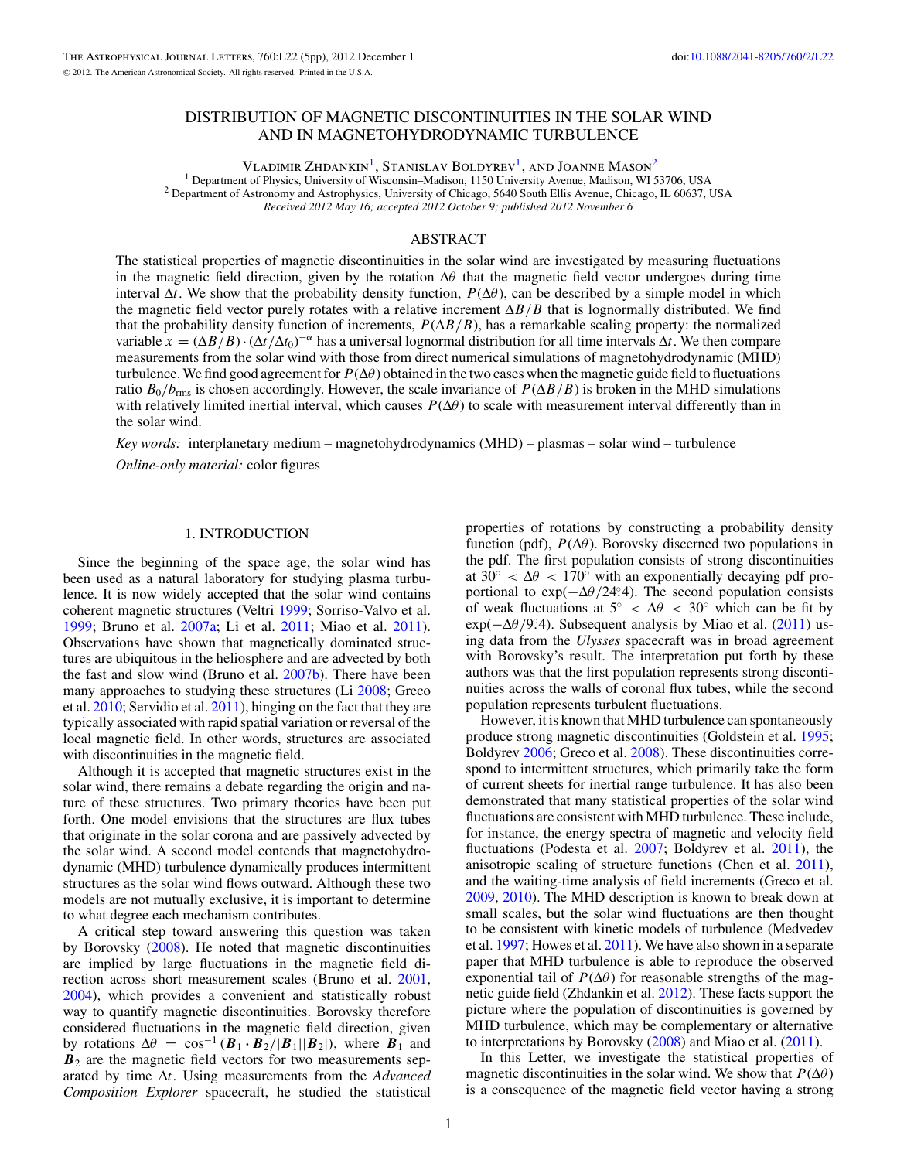# DISTRIBUTION OF MAGNETIC DISCONTINUITIES IN THE SOLAR WIND AND IN MAGNETOHYDRODYNAMIC TURBULENCE

VLADIMIR  $Z$ HDANKIN<sup>1</sup>, STANISLAV BOLDYREV<sup>1</sup>, AND JOANNE MASON<sup>2</sup><br><sup>1</sup> Department of Physics, University of Wisconsin–Madison, 1150 University Avenue, Madison, WI 53706, USA <sup>2</sup> Department of Astronomy and Astrophysics, University of Chicago, 5640 South Ellis Avenue, Chicago, IL 60637, USA *Received 2012 May 16; accepted 2012 October 9; published 2012 November 6*

#### ABSTRACT

The statistical properties of magnetic discontinuities in the solar wind are investigated by measuring fluctuations in the magnetic field direction, given by the rotation  $\Delta\theta$  that the magnetic field vector undergoes during time interval  $\Delta t$ . We show that the probability density function,  $P(\Delta \theta)$ , can be described by a simple model in which the magnetic field vector purely rotates with a relative increment Δ*B/B* that is lognormally distributed. We find that the probability density function of increments,  $P(\Delta B/B)$ , has a remarkable scaling property: the normalized variable  $x = (\Delta B/B) \cdot (\Delta t/\Delta t_0)^{-\alpha}$  has a universal lognormal distribution for all time intervals  $\Delta t$ . We then compare measurements from the solar wind with those from direct numerical simulations of magnetohydrodynamic (MHD) turbulence. We find good agreement for  $P(\Delta\theta)$  obtained in the two cases when the magnetic guide field to fluctuations ratio  $B_0/b_{\rm rms}$  is chosen accordingly. However, the scale invariance of  $P(\Delta B/B)$  is broken in the MHD simulations with relatively limited inertial interval, which causes  $P(\Delta\theta)$  to scale with measurement interval differently than in the solar wind.

*Key words:* interplanetary medium – magnetohydrodynamics (MHD) – plasmas – solar wind – turbulence *Online-only material:* color figures

# 1. INTRODUCTION

Since the beginning of the space age, the solar wind has been used as a natural laboratory for studying plasma turbulence. It is now widely accepted that the solar wind contains coherent magnetic structures (Veltri [1999;](#page-4-0) Sorriso-Valvo et al. [1999;](#page-4-0) Bruno et al. [2007a;](#page-4-0) Li et al. [2011;](#page-4-0) Miao et al. [2011\)](#page-4-0). Observations have shown that magnetically dominated structures are ubiquitous in the heliosphere and are advected by both the fast and slow wind (Bruno et al. [2007b\)](#page-4-0). There have been many approaches to studying these structures (Li [2008;](#page-4-0) Greco et al. [2010;](#page-4-0) Servidio et al. [2011\)](#page-4-0), hinging on the fact that they are typically associated with rapid spatial variation or reversal of the local magnetic field. In other words, structures are associated with discontinuities in the magnetic field.

Although it is accepted that magnetic structures exist in the solar wind, there remains a debate regarding the origin and nature of these structures. Two primary theories have been put forth. One model envisions that the structures are flux tubes that originate in the solar corona and are passively advected by the solar wind. A second model contends that magnetohydrodynamic (MHD) turbulence dynamically produces intermittent structures as the solar wind flows outward. Although these two models are not mutually exclusive, it is important to determine to what degree each mechanism contributes.

A critical step toward answering this question was taken by Borovsky [\(2008\)](#page-4-0). He noted that magnetic discontinuities are implied by large fluctuations in the magnetic field direction across short measurement scales (Bruno et al. [2001,](#page-4-0) [2004\)](#page-4-0), which provides a convenient and statistically robust way to quantify magnetic discontinuities. Borovsky therefore considered fluctuations in the magnetic field direction, given by rotations  $\Delta\theta = \cos^{-1}(\mathbf{B}_1 \cdot \mathbf{B}_2/|\mathbf{B}_1||\mathbf{B}_2|)$ , where  $\mathbf{B}_1$  and  $B_2$  are the magnetic field vectors for two measurements separated by time Δ*t*. Using measurements from the *Advanced Composition Explorer* spacecraft, he studied the statistical

properties of rotations by constructing a probability density function (pdf),  $P(\Delta\theta)$ . Borovsky discerned two populations in the pdf. The first population consists of strong discontinuities at  $30^\circ < \Delta \theta < 170^\circ$  with an exponentially decaying pdf proportional to exp( $-\Delta\theta/24$ <sup>°2</sup>.4). The second population consists of weak fluctuations at  $5° < \Delta \theta < 30°$  which can be fit by exp( $-\Delta\theta$ /9°.4). Subsequent analysis by Miao et al. [\(2011\)](#page-4-0) using data from the *Ulysses* spacecraft was in broad agreement with Borovsky's result. The interpretation put forth by these authors was that the first population represents strong discontinuities across the walls of coronal flux tubes, while the second population represents turbulent fluctuations.

However, it is known that MHD turbulence can spontaneously produce strong magnetic discontinuities (Goldstein et al. [1995;](#page-4-0) Boldyrev [2006;](#page-4-0) Greco et al. [2008\)](#page-4-0). These discontinuities correspond to intermittent structures, which primarily take the form of current sheets for inertial range turbulence. It has also been demonstrated that many statistical properties of the solar wind fluctuations are consistent with MHD turbulence. These include, for instance, the energy spectra of magnetic and velocity field fluctuations (Podesta et al. [2007;](#page-4-0) Boldyrev et al. [2011\)](#page-4-0), the anisotropic scaling of structure functions (Chen et al. [2011\)](#page-4-0), and the waiting-time analysis of field increments (Greco et al. [2009,](#page-4-0) [2010\)](#page-4-0). The MHD description is known to break down at small scales, but the solar wind fluctuations are then thought to be consistent with kinetic models of turbulence (Medvedev et al. [1997;](#page-4-0) Howes et al. [2011\)](#page-4-0). We have also shown in a separate paper that MHD turbulence is able to reproduce the observed exponential tail of  $P(\Delta\theta)$  for reasonable strengths of the magnetic guide field (Zhdankin et al. [2012\)](#page-4-0). These facts support the picture where the population of discontinuities is governed by MHD turbulence, which may be complementary or alternative to interpretations by Borovsky [\(2008\)](#page-4-0) and Miao et al. [\(2011\)](#page-4-0).

In this Letter, we investigate the statistical properties of magnetic discontinuities in the solar wind. We show that  $P(\Delta \theta)$ is a consequence of the magnetic field vector having a strong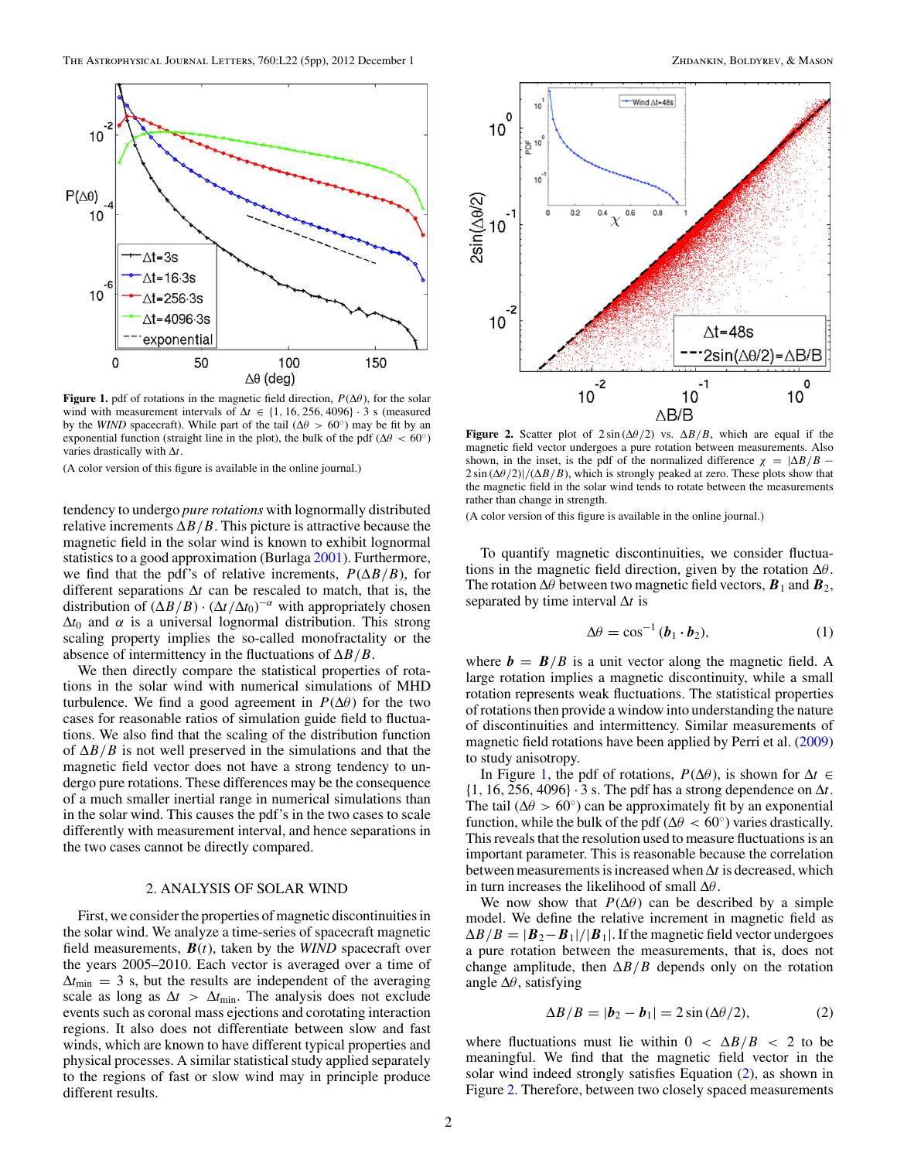<span id="page-1-0"></span>

**Figure 1.** pdf of rotations in the magnetic field direction,  $P(\Delta\theta)$ , for the solar wind with measurement intervals of  $\Delta t \in \{1, 16, 256, 4096\} \cdot 3$  s (measured by the *WIND* spacecraft). While part of the tail ( $\Delta\theta > 60°$ ) may be fit by an exponential function (straight line in the plot), the bulk of the pdf ( $\Delta\theta < 60^\circ$ ) varies drastically with Δ*t*.

(A color version of this figure is available in the online journal.)

tendency to undergo *pure rotations* with lognormally distributed relative increments  $\Delta B/B$ . This picture is attractive because the magnetic field in the solar wind is known to exhibit lognormal statistics to a good approximation (Burlaga [2001\)](#page-4-0). Furthermore, we find that the pdf's of relative increments,  $P(\Delta B/B)$ , for different separations Δ*t* can be rescaled to match, that is, the distribution of  $(\Delta B/B) \cdot (\Delta t / \Delta t_0)^{-\alpha}$  with appropriately chosen  $\Delta t_0$  and  $\alpha$  is a universal lognormal distribution. This strong scaling property implies the so-called monofractality or the absence of intermittency in the fluctuations of Δ*B/B*.

We then directly compare the statistical properties of rotations in the solar wind with numerical simulations of MHD turbulence. We find a good agreement in  $P(\Delta \theta)$  for the two cases for reasonable ratios of simulation guide field to fluctuations. We also find that the scaling of the distribution function of  $\Delta B/B$  is not well preserved in the simulations and that the magnetic field vector does not have a strong tendency to undergo pure rotations. These differences may be the consequence of a much smaller inertial range in numerical simulations than in the solar wind. This causes the pdf's in the two cases to scale differently with measurement interval, and hence separations in the two cases cannot be directly compared.

## 2. ANALYSIS OF SOLAR WIND

First, we consider the properties of magnetic discontinuities in the solar wind. We analyze a time-series of spacecraft magnetic field measurements,  $B(t)$ , taken by the *WIND* spacecraft over the years 2005–2010. Each vector is averaged over a time of  $\Delta t_{\text{min}} = 3$  s, but the results are independent of the averaging scale as long as  $\Delta t > \Delta t_{\text{min}}$ . The analysis does not exclude events such as coronal mass ejections and corotating interaction regions. It also does not differentiate between slow and fast winds, which are known to have different typical properties and physical processes. A similar statistical study applied separately to the regions of fast or slow wind may in principle produce different results.



**Figure 2.** Scatter plot of  $2 \sin(\Delta \theta/2)$  vs.  $\Delta B/B$ , which are equal if the magnetic field vector undergoes a pure rotation between measurements. Also shown, in the inset, is the pdf of the normalized difference  $\chi = |\Delta B/B - \Delta E|$  $2 \sin (\Delta \theta/2)/(\Delta B/B)$ , which is strongly peaked at zero. These plots show that the magnetic field in the solar wind tends to rotate between the measurements rather than change in strength.

(A color version of this figure is available in the online journal.)

To quantify magnetic discontinuities, we consider fluctuations in the magnetic field direction, given by the rotation Δ*θ*. The rotation  $\Delta\theta$  between two magnetic field vectors,  $\mathbf{B}_1$  and  $\mathbf{B}_2$ , separated by time interval Δ*t* is

$$
\Delta \theta = \cos^{-1} (\boldsymbol{b}_1 \cdot \boldsymbol{b}_2), \tag{1}
$$

where  $\mathbf{b} = \mathbf{B}/B$  is a unit vector along the magnetic field. A large rotation implies a magnetic discontinuity, while a small rotation represents weak fluctuations. The statistical properties of rotations then provide a window into understanding the nature of discontinuities and intermittency. Similar measurements of magnetic field rotations have been applied by Perri et al. [\(2009\)](#page-4-0) to study anisotropy.

In Figure 1, the pdf of rotations,  $P(\Delta\theta)$ , is shown for  $\Delta t \in$ {1*,* 16*,* 256*,* 4096} · 3 s. The pdf has a strong dependence on Δ*t*. The tail  $(\Delta \theta > 60^{\circ})$  can be approximately fit by an exponential function, while the bulk of the pdf ( $\Delta\theta < 60^{\circ}$ ) varies drastically. This reveals that the resolution used to measure fluctuations is an important parameter. This is reasonable because the correlation between measurements is increased when Δ*t* is decreased, which in turn increases the likelihood of small Δ*θ*.

We now show that  $P(\Delta \theta)$  can be described by a simple model. We define the relative increment in magnetic field as  $\Delta B/B = |B_2 - B_1|/|B_1|$ . If the magnetic field vector undergoes a pure rotation between the measurements, that is, does not change amplitude, then  $\Delta B/B$  depends only on the rotation angle Δ*θ*, satisfying

$$
\Delta B/B = |\boldsymbol{b}_2 - \boldsymbol{b}_1| = 2\sin(\Delta\theta/2),\tag{2}
$$

where fluctuations must lie within  $0 < \Delta B/B < 2$  to be meaningful. We find that the magnetic field vector in the solar wind indeed strongly satisfies Equation (2), as shown in Figure 2. Therefore, between two closely spaced measurements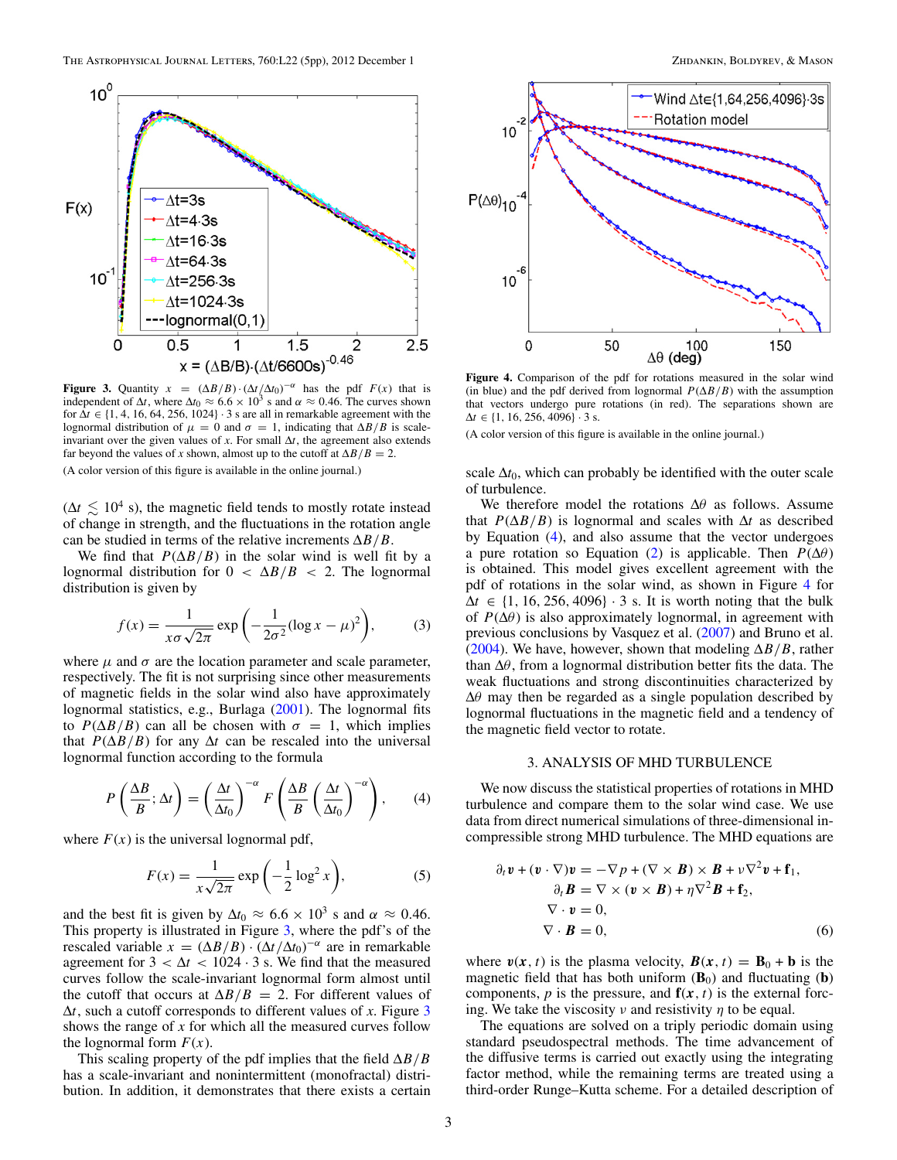<span id="page-2-0"></span>

**Figure 3.** Quantity  $x = (\Delta B/B) \cdot (\Delta t/\Delta t_0)^{-\alpha}$  has the pdf  $F(x)$  that is independent of  $\Delta t$ , where  $\Delta t_0 \approx 6.6 \times 10^3$  s and  $\alpha \approx 0.46$ . The curves shown for  $\Delta t \in \{1, 4, 16, 64, 256, 1024\}$  · 3 s are all in remarkable agreement with the lognormal distribution of  $\mu = 0$  and  $\sigma = 1$ , indicating that  $\Delta B/B$  is scaleinvariant over the given values of  $x$ . For small  $\Delta t$ , the agreement also extends far beyond the values of *x* shown, almost up to the cutoff at  $\Delta B/B = 2$ . (A color version of this figure is available in the online journal.)

 $(\Delta t \lesssim 10^4 \text{ s})$ , the magnetic field tends to mostly rotate instead of change in strength, and the fluctuations in the rotation angle can be studied in terms of the relative increments Δ*B/B*.

We find that  $P(\Delta B/B)$  in the solar wind is well fit by a lognormal distribution for 0 *<* Δ*B/B <* 2. The lognormal distribution is given by

$$
f(x) = \frac{1}{x\sigma\sqrt{2\pi}} \exp\left(-\frac{1}{2\sigma^2} (\log x - \mu)^2\right),\tag{3}
$$

where  $\mu$  and  $\sigma$  are the location parameter and scale parameter, respectively. The fit is not surprising since other measurements of magnetic fields in the solar wind also have approximately lognormal statistics, e.g., Burlaga [\(2001\)](#page-4-0). The lognormal fits to  $P(\Delta B/B)$  can all be chosen with  $\sigma = 1$ , which implies that  $P(\Delta B/B)$  for any  $\Delta t$  can be rescaled into the universal lognormal function according to the formula

$$
P\left(\frac{\Delta B}{B}; \Delta t\right) = \left(\frac{\Delta t}{\Delta t_0}\right)^{-\alpha} F\left(\frac{\Delta B}{B}\left(\frac{\Delta t}{\Delta t_0}\right)^{-\alpha}\right), \qquad (4)
$$

where  $F(x)$  is the universal lognormal pdf,

$$
F(x) = \frac{1}{x\sqrt{2\pi}} \exp\left(-\frac{1}{2}\log^2 x\right),\tag{5}
$$

and the best fit is given by  $\Delta t_0 \approx 6.6 \times 10^3$  s and  $\alpha \approx 0.46$ . This property is illustrated in Figure 3, where the pdf's of the rescaled variable  $x = (\Delta B/B) \cdot (\Delta t / \Delta t_0)^{-\alpha}$  are in remarkable agreement for  $3 < \Delta t < 1024 \cdot 3$  s. We find that the measured curves follow the scale-invariant lognormal form almost until the cutoff that occurs at  $\Delta B/B = 2$ . For different values of  $\Delta t$ , such a cutoff corresponds to different values of *x*. Figure 3 shows the range of *x* for which all the measured curves follow the lognormal form  $F(x)$ .

This scaling property of the pdf implies that the field Δ*B/B* has a scale-invariant and nonintermittent (monofractal) distribution. In addition, it demonstrates that there exists a certain



**Figure 4.** Comparison of the pdf for rotations measured in the solar wind (in blue) and the pdf derived from lognormal  $P(\Delta B/B)$  with the assumption that vectors undergo pure rotations (in red). The separations shown are  $\Delta t \in \{1, 16, 256, 4096\}$  · 3 s.

(A color version of this figure is available in the online journal.)

scale  $\Delta t_0$ , which can probably be identified with the outer scale of turbulence.

We therefore model the rotations Δ*θ* as follows. Assume that  $P(\Delta B/B)$  is lognormal and scales with  $\Delta t$  as described by Equation (4), and also assume that the vector undergoes a pure rotation so Equation [\(2\)](#page-1-0) is applicable. Then  $P(\Delta \theta)$ is obtained. This model gives excellent agreement with the pdf of rotations in the solar wind, as shown in Figure 4 for  $\Delta t \in \{1, 16, 256, 4096\} \cdot 3$  s. It is worth noting that the bulk of  $P(\Delta\theta)$  is also approximately lognormal, in agreement with previous conclusions by Vasquez et al. [\(2007\)](#page-4-0) and Bruno et al. [\(2004\)](#page-4-0). We have, however, shown that modeling  $\Delta B/B$ , rather than Δ*θ*, from a lognormal distribution better fits the data. The weak fluctuations and strong discontinuities characterized by Δ*θ* may then be regarded as a single population described by lognormal fluctuations in the magnetic field and a tendency of the magnetic field vector to rotate.

#### 3. ANALYSIS OF MHD TURBULENCE

We now discuss the statistical properties of rotations in MHD turbulence and compare them to the solar wind case. We use data from direct numerical simulations of three-dimensional incompressible strong MHD turbulence. The MHD equations are

$$
\partial_t \mathbf{v} + (\mathbf{v} \cdot \nabla) \mathbf{v} = -\nabla p + (\nabla \times \mathbf{B}) \times \mathbf{B} + \nu \nabla^2 \mathbf{v} + \mathbf{f}_1, \n\partial_t \mathbf{B} = \nabla \times (\mathbf{v} \times \mathbf{B}) + \eta \nabla^2 \mathbf{B} + \mathbf{f}_2, \n\nabla \cdot \mathbf{v} = 0, \n\nabla \cdot \mathbf{B} = 0,
$$
\n(6)

where  $v(x, t)$  is the plasma velocity,  $B(x, t) = B_0 + b$  is the magnetic field that has both uniform  $(\mathbf{B}_0)$  and fluctuating  $(\mathbf{b})$ components,  $p$  is the pressure, and  $f(x, t)$  is the external forcing. We take the viscosity  $\nu$  and resistivity  $\eta$  to be equal.

The equations are solved on a triply periodic domain using standard pseudospectral methods. The time advancement of the diffusive terms is carried out exactly using the integrating factor method, while the remaining terms are treated using a third-order Runge–Kutta scheme. For a detailed description of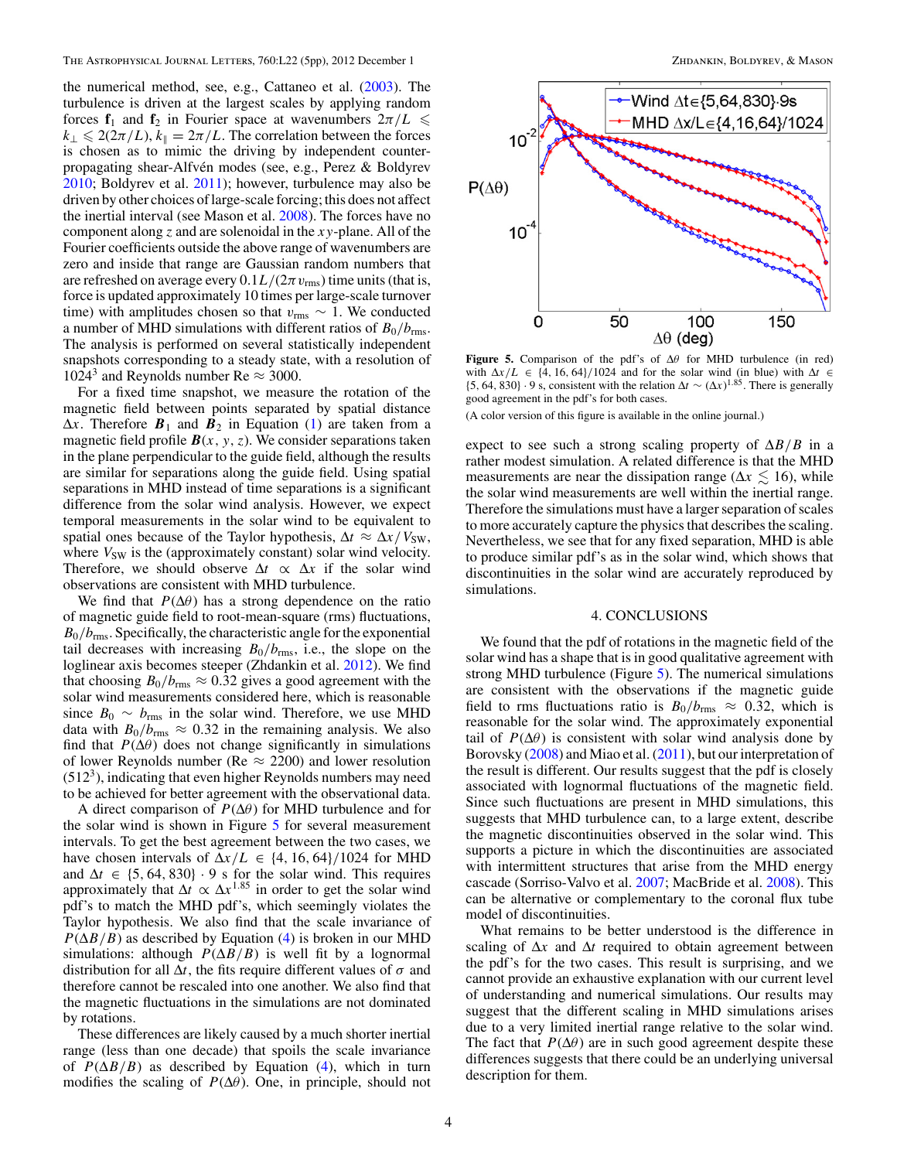the numerical method, see, e.g., Cattaneo et al. [\(2003\)](#page-4-0). The turbulence is driven at the largest scales by applying random forces  $f_1$  and  $f_2$  in Fourier space at wavenumbers  $2\pi/L \leq$  $k_{\perp} \leq 2(2\pi/L)$ ,  $k_{\parallel} = 2\pi/L$ . The correlation between the forces is chosen as to mimic the driving by independent counterpropagating shear-Alfvén modes (see, e.g., Perez & Boldyrev [2010;](#page-4-0) Boldyrev et al. [2011\)](#page-4-0); however, turbulence may also be driven by other choices of large-scale forcing; this does not affect the inertial interval (see Mason et al. [2008\)](#page-4-0). The forces have no component along *z* and are solenoidal in the *xy*-plane. All of the Fourier coefficients outside the above range of wavenumbers are zero and inside that range are Gaussian random numbers that are refreshed on average every  $0.1L/(2\pi v_{\rm rms})$  time units (that is, force is updated approximately 10 times per large-scale turnover time) with amplitudes chosen so that  $v_{\rm rms} \sim 1$ . We conducted a number of MHD simulations with different ratios of  $B_0/b_{\rm rms}$ . The analysis is performed on several statistically independent snapshots corresponding to a steady state, with a resolution of 1024<sup>3</sup> and Reynolds number Re  $\approx$  3000.

For a fixed time snapshot, we measure the rotation of the magnetic field between points separated by spatial distance  $\Delta x$ . Therefore  $B_1$  and  $B_2$  in Equation [\(1\)](#page-1-0) are taken from a magnetic field profile  $\mathbf{B}(x, y, z)$ . We consider separations taken in the plane perpendicular to the guide field, although the results are similar for separations along the guide field. Using spatial separations in MHD instead of time separations is a significant difference from the solar wind analysis. However, we expect temporal measurements in the solar wind to be equivalent to spatial ones because of the Taylor hypothesis,  $\Delta t \approx \Delta x / V_{SW}$ , where  $V_{SW}$  is the (approximately constant) solar wind velocity. Therefore, we should observe  $\Delta t \propto \Delta x$  if the solar wind observations are consistent with MHD turbulence.

We find that  $P(\Delta\theta)$  has a strong dependence on the ratio of magnetic guide field to root-mean-square (rms) fluctuations,  $B_0/b_{\rm rms}$ . Specifically, the characteristic angle for the exponential tail decreases with increasing  $B_0/b_{\rm rms}$ , i.e., the slope on the loglinear axis becomes steeper (Zhdankin et al. [2012\)](#page-4-0). We find that choosing  $B_0/b_{\rm rms} \approx 0.32$  gives a good agreement with the solar wind measurements considered here, which is reasonable since  $B_0 \sim b_{\rm rms}$  in the solar wind. Therefore, we use MHD data with  $B_0/b_{\rm rms} \approx 0.32$  in the remaining analysis. We also find that  $P(\Delta\theta)$  does not change significantly in simulations of lower Reynolds number (Re  $\approx$  2200) and lower resolution  $(512<sup>3</sup>)$ , indicating that even higher Reynolds numbers may need to be achieved for better agreement with the observational data.

A direct comparison of *P*(Δ*θ*) for MHD turbulence and for the solar wind is shown in Figure 5 for several measurement intervals. To get the best agreement between the two cases, we have chosen intervals of  $\Delta x/L \in \{4, 16, 64\}/1024$  for MHD and  $\Delta t \in \{5, 64, 830\} \cdot 9$  s for the solar wind. This requires approximately that  $\Delta t \propto \Delta x^{1.85}$  in order to get the solar wind pdf's to match the MHD pdf's, which seemingly violates the Taylor hypothesis. We also find that the scale invariance of  $P(\Delta B/B)$  as described by Equation [\(4\)](#page-2-0) is broken in our MHD simulations: although  $P(\Delta B/B)$  is well fit by a lognormal distribution for all  $\Delta t$ , the fits require different values of  $\sigma$  and therefore cannot be rescaled into one another. We also find that the magnetic fluctuations in the simulations are not dominated by rotations.

These differences are likely caused by a much shorter inertial range (less than one decade) that spoils the scale invariance of  $P(\Delta B/B)$  as described by Equation [\(4\)](#page-2-0), which in turn modifies the scaling of  $P(\Delta\theta)$ . One, in principle, should not



**Figure 5.** Comparison of the pdf's of Δ*θ* for MHD turbulence (in red) with  $\Delta x/L \in \{4, 16, 64\}/1024$  and for the solar wind (in blue) with  $\Delta t \in$  ${5, 64, 830} \cdot 9$  s, consistent with the relation  $\Delta t \sim (\Delta x)^{1.85}$ . There is generally good agreement in the pdf's for both cases.

(A color version of this figure is available in the online journal.)

expect to see such a strong scaling property of  $\Delta B/B$  in a rather modest simulation. A related difference is that the MHD measurements are near the dissipation range ( $\Delta x \lesssim 16$ ), while the solar wind measurements are well within the inertial range. Therefore the simulations must have a larger separation of scales to more accurately capture the physics that describes the scaling. Nevertheless, we see that for any fixed separation, MHD is able to produce similar pdf's as in the solar wind, which shows that discontinuities in the solar wind are accurately reproduced by simulations.

## 4. CONCLUSIONS

We found that the pdf of rotations in the magnetic field of the solar wind has a shape that is in good qualitative agreement with strong MHD turbulence (Figure 5). The numerical simulations are consistent with the observations if the magnetic guide field to rms fluctuations ratio is  $B_0/b_{\rm rms} \approx 0.32$ , which is reasonable for the solar wind. The approximately exponential tail of  $P(\Delta \theta)$  is consistent with solar wind analysis done by Borovsky [\(2008\)](#page-4-0) and Miao et al. [\(2011\)](#page-4-0), but our interpretation of the result is different. Our results suggest that the pdf is closely associated with lognormal fluctuations of the magnetic field. Since such fluctuations are present in MHD simulations, this suggests that MHD turbulence can, to a large extent, describe the magnetic discontinuities observed in the solar wind. This supports a picture in which the discontinuities are associated with intermittent structures that arise from the MHD energy cascade (Sorriso-Valvo et al. [2007;](#page-4-0) MacBride et al. [2008\)](#page-4-0). This can be alternative or complementary to the coronal flux tube model of discontinuities.

What remains to be better understood is the difference in scaling of  $\Delta x$  and  $\Delta t$  required to obtain agreement between the pdf's for the two cases. This result is surprising, and we cannot provide an exhaustive explanation with our current level of understanding and numerical simulations. Our results may suggest that the different scaling in MHD simulations arises due to a very limited inertial range relative to the solar wind. The fact that  $P(\Delta\theta)$  are in such good agreement despite these differences suggests that there could be an underlying universal description for them.